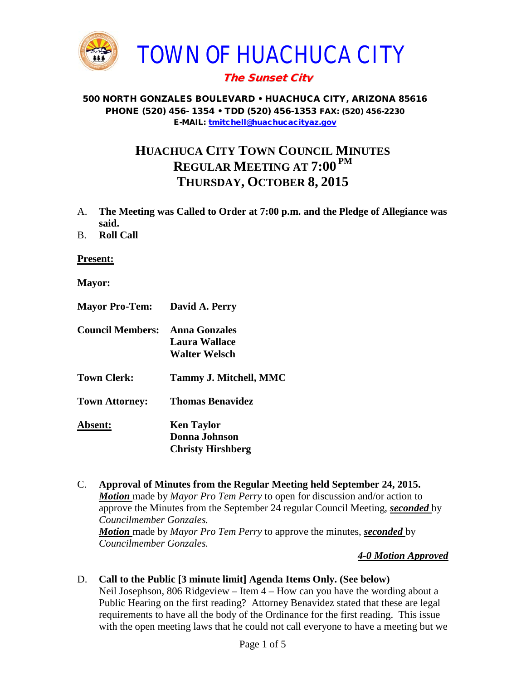

# The Sunset City

500 NORTH GONZALES BOULEVARD • HUACHUCA CITY, ARIZONA 85616 PHONE (520) 456- 1354 • TDD (520) 456-1353 FAX: (520) 456-2230 E-MAIL: [tmitchell@huachucacityaz.gov](mailto:tmitchell@huachucacityaz.gov)

# **HUACHUCA CITY TOWN COUNCIL MINUTES REGULAR MEETING AT 7:00 PM THURSDAY, OCTOBER 8, 2015**

- A. **The Meeting was Called to Order at 7:00 p.m. and the Pledge of Allegiance was said.**
- B. **Roll Call**

**Present:**

- **Mayor:**
- **Mayor Pro-Tem: David A. Perry Council Members: Anna Gonzales Laura Wallace Walter Welsch Town Clerk: Tammy J. Mitchell, MMC Town Attorney: Thomas Benavidez Absent: Ken Taylor Donna Johnson Christy Hirshberg**
- C. **Approval of Minutes from the Regular Meeting held September 24, 2015.** *Motion* made by *Mayor Pro Tem Perry* to open for discussion and/or action to approve the Minutes from the September 24 regular Council Meeting, *seconded* by *Councilmember Gonzales. Motion* made by *Mayor Pro Tem Perry* to approve the minutes, *seconded* by *Councilmember Gonzales.*

#### *4-0 Motion Approved*

### D. **Call to the Public [3 minute limit] Agenda Items Only. (See below)**

Neil Josephson, 806 Ridgeview – Item 4 – How can you have the wording about a Public Hearing on the first reading? Attorney Benavidez stated that these are legal requirements to have all the body of the Ordinance for the first reading. This issue with the open meeting laws that he could not call everyone to have a meeting but we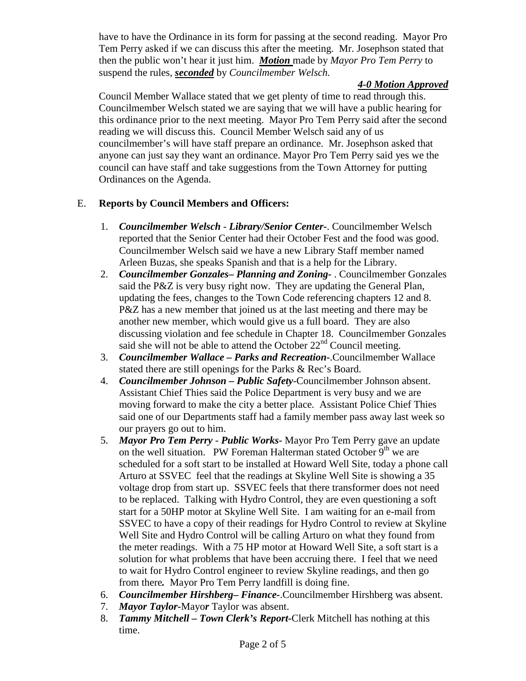have to have the Ordinance in its form for passing at the second reading. Mayor Pro Tem Perry asked if we can discuss this after the meeting. Mr. Josephson stated that then the public won't hear it just him. *Motion* made by *Mayor Pro Tem Perry* to suspend the rules, *seconded* by *Councilmember Welsch.*

## *4-0 Motion Approved*

Council Member Wallace stated that we get plenty of time to read through this. Councilmember Welsch stated we are saying that we will have a public hearing for this ordinance prior to the next meeting. Mayor Pro Tem Perry said after the second reading we will discuss this. Council Member Welsch said any of us councilmember's will have staff prepare an ordinance. Mr. Josephson asked that anyone can just say they want an ordinance. Mayor Pro Tem Perry said yes we the council can have staff and take suggestions from the Town Attorney for putting Ordinances on the Agenda.

## E. **Reports by Council Members and Officers:**

- 1. *Councilmember Welsch - Library/Senior Center***-**. Councilmember Welsch reported that the Senior Center had their October Fest and the food was good. Councilmember Welsch said we have a new Library Staff member named Arleen Buzas, she speaks Spanish and that is a help for the Library.
- 2. *Councilmember Gonzales***–** *Planning and Zoning-* . Councilmember Gonzales said the P&Z is very busy right now. They are updating the General Plan, updating the fees, changes to the Town Code referencing chapters 12 and 8. P&Z has a new member that joined us at the last meeting and there may be another new member, which would give us a full board. They are also discussing violation and fee schedule in Chapter 18. Councilmember Gonzales said she will not be able to attend the October  $22<sup>nd</sup>$  Council meeting.
- 3. *Councilmember Wallace* **–** *Parks and Recreation***-**.Councilmember Wallace stated there are still openings for the Parks & Rec's Board.
- 4. *Councilmember Johnson – Public Safety-*Councilmember Johnson absent. Assistant Chief Thies said the Police Department is very busy and we are moving forward to make the city a better place. Assistant Police Chief Thies said one of our Departments staff had a family member pass away last week so our prayers go out to him.
- 5. *Mayor Pro Tem Perry Public Works-* Mayor Pro Tem Perry gave an update on the well situation. PW Foreman Halterman stated October  $9<sup>th</sup>$  we are scheduled for a soft start to be installed at Howard Well Site, today a phone call Arturo at SSVEC feel that the readings at Skyline Well Site is showing a 35 voltage drop from start up. SSVEC feels that there transformer does not need to be replaced. Talking with Hydro Control, they are even questioning a soft start for a 50HP motor at Skyline Well Site. I am waiting for an e-mail from SSVEC to have a copy of their readings for Hydro Control to review at Skyline Well Site and Hydro Control will be calling Arturo on what they found from the meter readings. With a 75 HP motor at Howard Well Site, a soft start is a solution for what problems that have been accruing there. I feel that we need to wait for Hydro Control engineer to review Skyline readings, and then go from there*.* Mayor Pro Tem Perry landfill is doing fine.
- 6. *Councilmember Hirshberg***–** *Finance-*.Councilmember Hirshberg was absent.
- 7. *Mayor Taylor-*Mayo*r* Taylor was absent.
- 8. *Tammy Mitchell – Town Clerk's Report-*Clerk Mitchell has nothing at this time.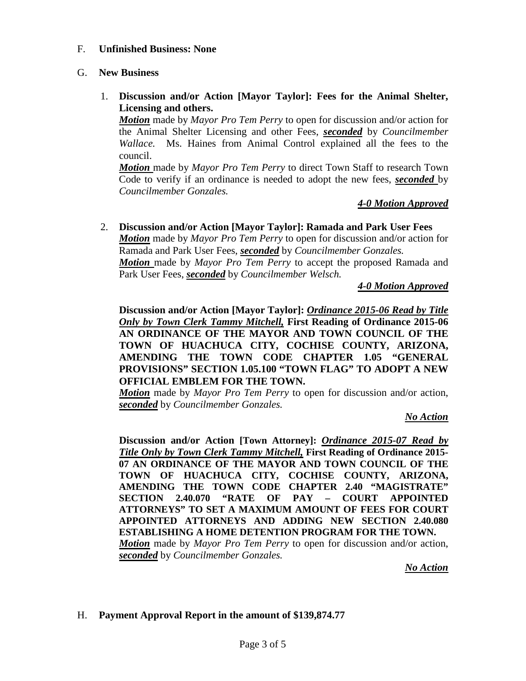#### F. **Unfinished Business: None**

#### G. **New Business**

1. **Discussion and/or Action [Mayor Taylor]: Fees for the Animal Shelter, Licensing and others.**

*Motion* made by *Mayor Pro Tem Perry* to open for discussion and/or action for the Animal Shelter Licensing and other Fees, *seconded* by *Councilmember Wallace.* Ms. Haines from Animal Control explained all the fees to the council.

*Motion* made by *Mayor Pro Tem Perry* to direct Town Staff to research Town Code to verify if an ordinance is needed to adopt the new fees, *seconded* by *Councilmember Gonzales.*

#### *4-0 Motion Approved*

#### 2. **Discussion and/or Action [Mayor Taylor]: Ramada and Park User Fees** *Motion* made by *Mayor Pro Tem Perry* to open for discussion and/or action for Ramada and Park User Fees, *seconded* by *Councilmember Gonzales. Motion* made by *Mayor Pro Tem Perry* to accept the proposed Ramada and Park User Fees, *seconded* by *Councilmember Welsch.*

*4-0 Motion Approved*

**Discussion and/or Action [Mayor Taylor]:** *Ordinance 2015-06 Read by Title Only by Town Clerk Tammy Mitchell,* **First Reading of Ordinance 2015-06 AN ORDINANCE OF THE MAYOR AND TOWN COUNCIL OF THE TOWN OF HUACHUCA CITY, COCHISE COUNTY, ARIZONA, AMENDING THE TOWN CODE CHAPTER 1.05 "GENERAL PROVISIONS" SECTION 1.05.100 "TOWN FLAG" TO ADOPT A NEW OFFICIAL EMBLEM FOR THE TOWN.**

*Motion* made by *Mayor Pro Tem Perry* to open for discussion and/or action, *seconded* by *Councilmember Gonzales.*

#### *No Action*

**Discussion and/or Action [Town Attorney]:** *Ordinance 2015-07 Read by Title Only by Town Clerk Tammy Mitchell,* **First Reading of Ordinance 2015- 07 AN ORDINANCE OF THE MAYOR AND TOWN COUNCIL OF THE TOWN OF HUACHUCA CITY, COCHISE COUNTY, ARIZONA, AMENDING THE TOWN CODE CHAPTER 2.40 "MAGISTRATE" SECTION 2.40.070 "RATE OF PAY – COURT APPOINTED ATTORNEYS" TO SET A MAXIMUM AMOUNT OF FEES FOR COURT APPOINTED ATTORNEYS AND ADDING NEW SECTION 2.40.080 ESTABLISHING A HOME DETENTION PROGRAM FOR THE TOWN.** *Motion* made by *Mayor Pro Tem Perry* to open for discussion and/or action, *seconded* by *Councilmember Gonzales.*

*No Action*

#### H. **Payment Approval Report in the amount of \$139,874.77**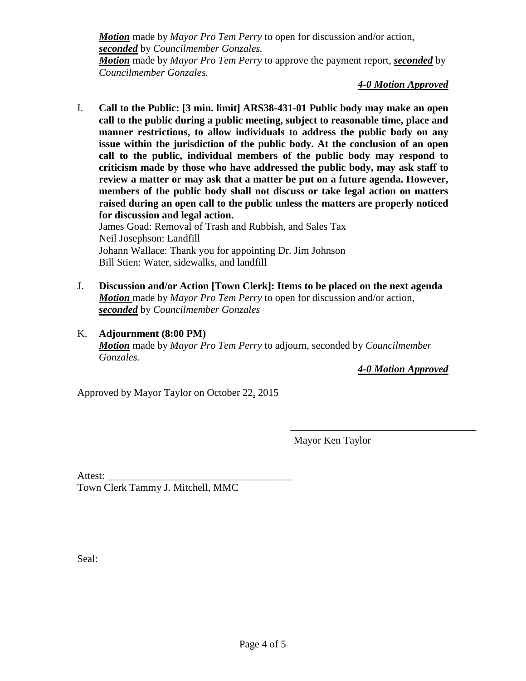*Motion* made by *Mayor Pro Tem Perry* to open for discussion and/or action, *seconded* by *Councilmember Gonzales. Motion* made by *Mayor Pro Tem Perry* to approve the payment report, *seconded* by *Councilmember Gonzales.*

*4-0 Motion Approved*

I. **Call to the Public: [3 min. limit] ARS38-431-01 Public body may make an open call to the public during a public meeting, subject to reasonable time, place and manner restrictions, to allow individuals to address the public body on any issue within the jurisdiction of the public body. At the conclusion of an open call to the public, individual members of the public body may respond to criticism made by those who have addressed the public body, may ask staff to review a matter or may ask that a matter be put on a future agenda. However, members of the public body shall not discuss or take legal action on matters raised during an open call to the public unless the matters are properly noticed for discussion and legal action.**

James Goad: Removal of Trash and Rubbish, and Sales Tax Neil Josephson: Landfill Johann Wallace: Thank you for appointing Dr. Jim Johnson Bill Stien: Water, sidewalks, and landfill

- J. **Discussion and/or Action [Town Clerk]: Items to be placed on the next agenda** *Motion* made by *Mayor Pro Tem Perry* to open for discussion and/or action, *seconded* by *Councilmember Gonzales*
- K. **Adjournment (8:00 PM)** *Motion* made by *Mayor Pro Tem Perry* to adjourn, seconded by *Councilmember Gonzales.*

*4-0 Motion Approved*

Approved by Mayor Taylor on October 22, 2015

Mayor Ken Taylor

Attest: \_\_\_\_\_\_\_\_\_\_\_\_\_\_\_\_\_\_\_\_\_\_\_\_\_\_\_\_\_\_\_\_\_\_\_\_

Town Clerk Tammy J. Mitchell, MMC

Seal: